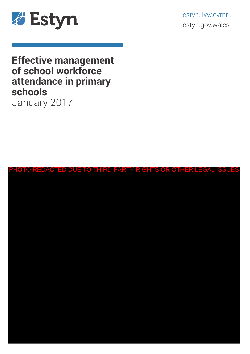

estyn.llyw.cymru estyn.gov.wales

# **Effective management of school workforce attendance in primary schools**  January 2017

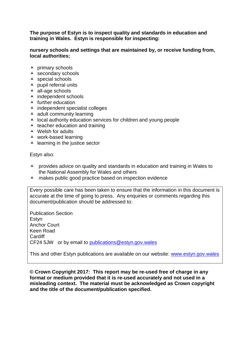**The purpose of Estyn is to inspect quality and standards in education and training in Wales. Estyn is responsible for inspecting:**

#### **nursery schools and settings that are maintained by, or receive funding from, local authorities;**

- $\overline{\phantom{a}}$  primary schools
- $\triangle$  secondary schools
- $\lambda$  special schools
- $\lambda$  pupil referral units
- $\triangle$  all-age schools
- $\overline{\phantom{a}}$  independent schools
- $\blacktriangle$  further education
- $\lambda$  independent specialist colleges
- $\triangle$  adult community learning
- $\lambda$  local authority education services for children and young people
- $\overline{\phantom{a}}$  teacher education and training
- Welsh for adults
- work-based learning
- $\blacktriangle$  learning in the justice sector

Estyn also:

- A provides advice on quality and standards in education and training in Wales to the National Assembly for Wales and others
- A makes public good practice based on inspection evidence

Every possible care has been taken to ensure that the information in this document is accurate at the time of going to press. Any enquiries or comments regarding this document/publication should be addressed to:

Publication Section Estyn Anchor Court Keen Road **Cardiff** CF24 5JW or by email to [publications@estyn.gov.wales](mailto:publications@estyn.gsi.gov.uk)

This and other Estyn publications are available on our website: [www.estyn.gov.wales](http://www.estyn.gov.uk/)

**© Crown Copyright 2017: This report may be re-used free of charge in any format or medium provided that it is re-used accurately and not used in a misleading context. The material must be acknowledged as Crown copyright and the title of the document/publication specified.**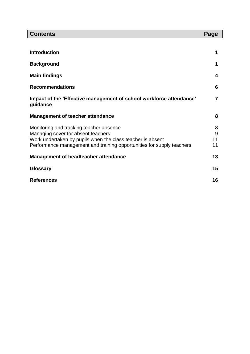| <b>Contents</b>                                                                                                                                                                                                      | Page               |
|----------------------------------------------------------------------------------------------------------------------------------------------------------------------------------------------------------------------|--------------------|
|                                                                                                                                                                                                                      |                    |
| <b>Introduction</b>                                                                                                                                                                                                  | 1                  |
| <b>Background</b>                                                                                                                                                                                                    | 1                  |
| <b>Main findings</b>                                                                                                                                                                                                 | 4                  |
| <b>Recommendations</b>                                                                                                                                                                                               | 6                  |
| Impact of the 'Effective management of school workforce attendance'<br>guidance                                                                                                                                      | 7                  |
| <b>Management of teacher attendance</b>                                                                                                                                                                              | 8                  |
| Monitoring and tracking teacher absence<br>Managing cover for absent teachers<br>Work undertaken by pupils when the class teacher is absent<br>Performance management and training opportunities for supply teachers | 8<br>9<br>11<br>11 |
| Management of headteacher attendance                                                                                                                                                                                 | 13                 |
| <b>Glossary</b>                                                                                                                                                                                                      | 15                 |
| <b>References</b>                                                                                                                                                                                                    | 16                 |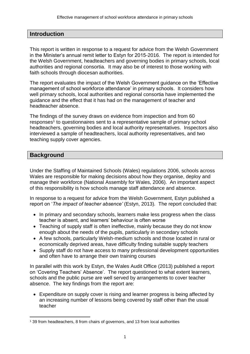# **Introduction**

This report is written in response to a request for advice from the Welsh Government in the Minister's annual remit letter to Estyn for 2015-2016. The report is intended for the Welsh Government, headteachers and governing bodies in primary schools, local authorities and regional consortia. It may also be of interest to those working with faith schools through diocesan authorities.

The report evaluates the impact of the Welsh Government guidance on the 'Effective management of school workforce attendance' in primary schools. It considers how well primary schools, local authorities and regional consortia have implemented the guidance and the effect that it has had on the management of teacher and headteacher absence.

The findings of the survey draws on evidence from inspection and from 60 responses<sup>1</sup> to questionnaires sent to a representative sample of primary school headteachers, governing bodies and local authority representatives. Inspectors also interviewed a sample of headteachers, local authority representatives, and two teaching supply cover agencies.

# **Background**

 $\overline{a}$ 

Under the Staffing of Maintained Schools (Wales) regulations 2006, schools across Wales are responsible for making decisions about how they organise, deploy and manage their workforce (National Assembly for Wales, 2006). An important aspect of this responsibility is how schools manage staff attendance and absence.

In response to a request for advice from the Welsh Government, Estyn published a report on '*The impact of teacher absence'* (Estyn, 2013)*.* The report concluded that:

- In primary and secondary schools, learners make less progress when the class teacher is absent, and learners' behaviour is often worse
- Teaching of supply staff is often ineffective, mainly because they do not know enough about the needs of the pupils, particularly in secondary schools
- A few schools, particularly Welsh-medium schools and those located in rural or economically deprived areas, have difficulty finding suitable supply teachers
- Supply staff do not have access to many professional development opportunities and often have to arrange their own training courses

In parallel with this work by Estyn, the Wales Audit Office (2013) published a report on 'Covering Teachers' Absence'. The report questioned to what extent learners, schools and the public purse are well served by arrangements to cover teacher absence. The key findings from the report are:

 Expenditure on supply cover is rising and learner progress is being affected by an increasing number of lessons being covered by staff other than the usual teacher

<sup>1</sup> 39 from headteachers, 8 from chairs of governors, and 13 from local authorities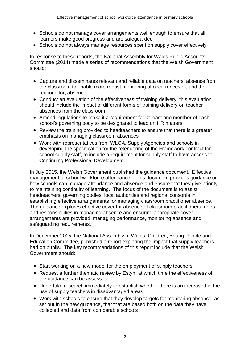- Schools do not manage cover arrangements well enough to ensure that all learners make good progress and are safeguarded
- Schools do not always manage resources spent on supply cover effectively

In response to these reports, the National Assembly for Wales Public Accounts Committee (2014) made a series of recommendations that the Welsh Government should:

- Capture and disseminates relevant and reliable data on teachers' absence from the classroom to enable more robust monitoring of occurrences of, and the reasons for, absence
- Conduct an evaluation of the effectiveness of training delivery; this evaluation should include the impact of different forms of training delivery on teacher absences from the classroom
- Amend regulations to make it a requirement for at least one member of each school's governing body to be designated to lead on HR matters
- Review the training provided to headteachers to ensure that there is a greater emphasis on managing classroom absences
- Work with representatives from WLGA, Supply Agencies and schools in developing the specification for the retendering of the Framework contract for school supply staff, to include a requirement for supply staff to have access to Continuing Professional Development

In July 2015, the Welsh Government published the guidance document, 'Effective management of school workforce attendance'. This document provides guidance on how schools can manage attendance and absence and ensure that they give priority to maintaining continuity of learning. The focus of the document is to assist headteachers, governing bodies, local authorities and regional consortia in establishing effective arrangements for managing classroom practitioner absence. The guidance explores effective cover for absence of classroom practitioners, roles and responsibilities in managing absence and ensuring appropriate cover arrangements are provided, managing performance, monitoring absence and safeguarding requirements.

In December 2015, the National Assembly of Wales, Children, Young People and Education Committee, published a report exploring the impact that supply teachers had on pupils. The key recommendations of this report include that the Welsh Government should:

- Start working on a new model for the employment of supply teachers
- Request a further thematic review by Estyn, at which time the effectiveness of the guidance can be assessed
- Undertake research immediately to establish whether there is an increased in the use of supply teachers in disadvantaged areas
- Work with schools to ensure that they develop targets for monitoring absence, as set out in the new guidance, that that are based both on the data they have collected and data from comparable schools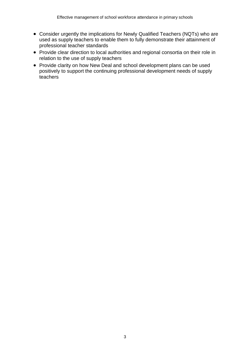- Consider urgently the implications for Newly Qualified Teachers (NQTs) who are used as supply teachers to enable them to fully demonstrate their attainment of professional teacher standards
- Provide clear direction to local authorities and regional consortia on their role in relation to the use of supply teachers
- Provide clarity on how New Deal and school development plans can be used positively to support the continuing professional development needs of supply teachers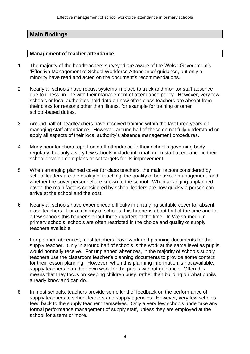# **Main findings**

#### **Management of teacher attendance**

- 1 The majority of the headteachers surveyed are aware of the Welsh Government's 'Effective Management of School Workforce Attendance' guidance, but only a minority have read and acted on the document's recommendations.
- 2 Nearly all schools have robust systems in place to track and monitor staff absence due to illness, in line with their management of attendance policy. However, very few schools or local authorities hold data on how often class teachers are absent from their class for reasons other than illness, for example for training or other school-based duties.
- 3 Around half of headteachers have received training within the last three years on managing staff attendance. However, around half of these do not fully understand or apply all aspects of their local authority's absence management procedures.
- 4 Many headteachers report on staff attendance to their school's governing body regularly, but only a very few schools include information on staff attendance in their school development plans or set targets for its improvement.
- 5 When arranging planned cover for class teachers, the main factors considered by school leaders are the quality of teaching, the quality of behaviour management, and whether the cover personnel are known to the school. When arranging unplanned cover, the main factors considered by school leaders are how quickly a person can arrive at the school and the cost.
- 6 Nearly all schools have experienced difficulty in arranging suitable cover for absent class teachers. For a minority of schools, this happens about half of the time and for a few schools this happens about three-quarters of the time. In Welsh-medium primary schools, schools are often restricted in the choice and quality of supply teachers available.
- 7 For planned absences, most teachers leave work and planning documents for the supply teacher. Only in around half of schools is the work at the same level as pupils would normally receive. For unplanned absences, in the majority of schools supply teachers use the classroom teacher's planning documents to provide some context for their lesson planning. However, when this planning information is not available, supply teachers plan their own work for the pupils without guidance. Often this means that they focus on keeping children busy, rather than building on what pupils already know and can do.
- 8 In most schools, teachers provide some kind of feedback on the performance of supply teachers to school leaders and supply agencies. However, very few schools feed back to the supply teacher themselves. Only a very few schools undertake any formal performance management of supply staff, unless they are employed at the school for a term or more.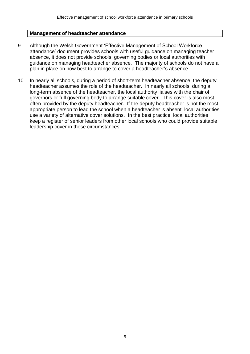#### **Management of headteacher attendance**

- 9 Although the Welsh Government 'Effective Management of School Workforce attendance' document provides schools with useful guidance on managing teacher absence, it does not provide schools, governing bodies or local authorities with guidance on managing headteacher absence. The majority of schools do not have a plan in place on how best to arrange to cover a headteacher's absence.
- 10 In nearly all schools, during a period of short-term headteacher absence, the deputy headteacher assumes the role of the headteacher. In nearly all schools, during a long-term absence of the headteacher, the local authority liaises with the chair of governors or full governing body to arrange suitable cover. This cover is also most often provided by the deputy headteacher. If the deputy headteacher is not the most appropriate person to lead the school when a headteacher is absent, local authorities use a variety of alternative cover solutions. In the best practice, local authorities keep a register of senior leaders from other local schools who could provide suitable leadership cover in these circumstances.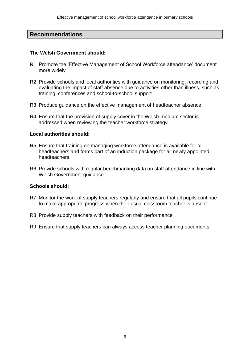# **Recommendations**

#### **The Welsh Government should:**

- R1 Promote the 'Effective Management of School Workforce attendance' document more widely
- R2 Provide schools and local authorities with guidance on monitoring, recording and evaluating the impact of staff absence due to activities other than illness, such as training, conferences and school-to-school support
- R3 Produce guidance on the effective management of headteacher absence
- R4 Ensure that the provision of supply cover in the Welsh-medium sector is addressed when reviewing the teacher workforce strategy

#### **Local authorities should:**

- R5 Ensure that training on managing workforce attendance is available for all headteachers and forms part of an induction package for all newly appointed headteachers
- R6 Provide schools with regular benchmarking data on staff attendance in line with Welsh Government guidance

## **Schools should:**

- R7 Monitor the work of supply teachers regularly and ensure that all pupils continue to make appropriate progress when their usual classroom teacher is absent
- R8 Provide supply teachers with feedback on their performance
- R9 Ensure that supply teachers can always access teacher planning documents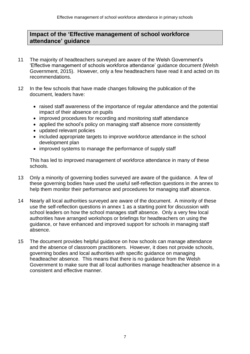# **Impact of the 'Effective management of school workforce attendance' guidance**

- 11 The majority of headteachers surveyed are aware of the Welsh Government's 'Effective management of schools workforce attendance' guidance document (Welsh Government, 2015). However, only a few headteachers have read it and acted on its recommendations.
- 12 In the few schools that have made changes following the publication of the document, leaders have:
	- raised staff awareness of the importance of regular attendance and the potential impact of their absence on pupils
	- improved procedures for recording and monitoring staff attendance
	- applied the school's policy on managing staff absence more consistently
	- updated relevant policies
	- included appropriate targets to improve workforce attendance in the school development plan
	- improved systems to manage the performance of supply staff

This has led to improved management of workforce attendance in many of these schools.

- 13 Only a minority of governing bodies surveyed are aware of the guidance. A few of these governing bodies have used the useful self-reflection questions in the annex to help them monitor their performance and procedures for managing staff absence.
- 14 Nearly all local authorities surveyed are aware of the document. A minority of these use the self-reflection questions in annex 1 as a starting point for discussion with school leaders on how the school manages staff absence. Only a very few local authorities have arranged workshops or briefings for headteachers on using the guidance, or have enhanced and improved support for schools in managing staff absence.
- 15 The document provides helpful guidance on how schools can manage attendance and the absence of classroom practitioners. However, it does not provide schools, governing bodies and local authorities with specific guidance on managing headteacher absence. This means that there is no guidance from the Welsh Government to make sure that all local authorities manage headteacher absence in a consistent and effective manner.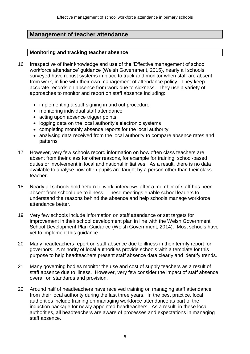# **Management of teacher attendance**

#### **Monitoring and tracking teacher absence**

- 16 Irrespective of their knowledge and use of the 'Effective management of school workforce attendance' guidance (Welsh Government, 2015), nearly all schools surveyed have robust systems in place to track and monitor when staff are absent from work, in line with their own management of attendance policy. They keep accurate records on absence from work due to sickness. They use a variety of approaches to monitor and report on staff absence including:
	- implementing a staff signing in and out procedure
	- monitoring individual staff attendance
	- acting upon absence trigger points
	- logging data on the local authority's electronic systems
	- completing monthly absence reports for the local authority
	- analysing data received from the local authority to compare absence rates and patterns
- 17 However, very few schools record information on how often class teachers are absent from their class for other reasons, for example for training, school-based duties or involvement in local and national initiatives. As a result, there is no data available to analyse how often pupils are taught by a person other than their class teacher.
- 18 Nearly all schools hold 'return to work' interviews after a member of staff has been absent from school due to illness. These meetings enable school leaders to understand the reasons behind the absence and help schools manage workforce attendance better.
- 19 Very few schools include information on staff attendance or set targets for improvement in their school development plan in line with the Welsh Government School Development Plan Guidance (Welsh Government, 2014). Most schools have yet to implement this guidance.
- 20 Many headteachers report on staff absence due to illness in their termly report for governors. A minority of local authorities provide schools with a template for this purpose to help headteachers present staff absence data clearly and identify trends.
- 21 Many governing bodies monitor the use and cost of supply teachers as a result of staff absence due to illness. However, very few consider the impact of staff absence overall on standards and provision.
- 22 Around half of headteachers have received training on managing staff attendance from their local authority during the last three years. In the best practice, local authorities include training on managing workforce attendance as part of the induction package for newly appointed headteachers. As a result, in these local authorities, all headteachers are aware of processes and expectations in managing staff absence.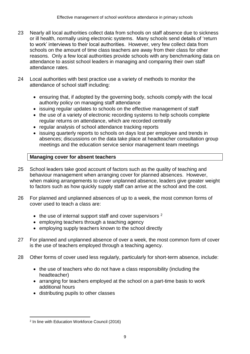- 23 Nearly all local authorities collect data from schools on staff absence due to sickness or ill health, normally using electronic systems. Many schools send details of 'return to work' interviews to their local authorities. However, very few collect data from schools on the amount of time class teachers are away from their class for other reasons. Only a few local authorities provide schools with any benchmarking data on attendance to assist school leaders in managing and comparing their own staff attendance rates.
- 24 Local authorities with best practice use a variety of methods to monitor the attendance of school staff including:
	- ensuring that, if adopted by the governing body, schools comply with the local authority policy on managing staff attendance
	- issuing regular updates to schools on the effective management of staff
	- the use of a variety of electronic recording systems to help schools complete regular returns on attendance, which are recorded centrally
	- regular analysis of school attendance tracking reports
	- issuing quarterly reports to schools on days lost per employee and trends in absences; discussions on the data take place at headteacher consultation group meetings and the education service senior management team meetings

#### **Managing cover for absent teachers**

- 25 School leaders take good account of factors such as the quality of teaching and behaviour management when arranging cover for planned absences. However, when making arrangements to cover unplanned absence, leaders give greater weight to factors such as how quickly supply staff can arrive at the school and the cost.
- 26 For planned and unplanned absences of up to a week, the most common forms of cover used to teach a class are:
	- $\bullet$  the use of internal support staff and cover supervisors  $^2$
	- employing teachers through a teaching agency
	- employing supply teachers known to the school directly
- 27 For planned and unplanned absence of over a week, the most common form of cover is the use of teachers employed through a teaching agency.
- 28 Other forms of cover used less regularly, particularly for short-term absence, include:
	- the use of teachers who do not have a class responsibility (including the headteacher)
	- arranging for teachers employed at the school on a part-time basis to work additional hours
	- distributing pupils to other classes

 $\overline{a}$ 2 In line with Education Workforce Council (2016)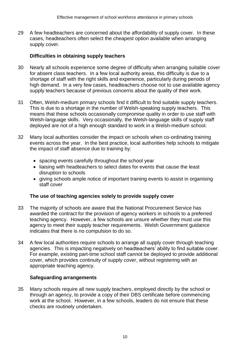29 A few headteachers are concerned about the affordability of supply cover. In these cases, headteachers often select the cheapest option available when arranging supply cover.

### **Difficulties in obtaining supply teachers**

- 30 Nearly all schools experience some degree of difficulty when arranging suitable cover for absent class teachers. In a few local authority areas, this difficulty is due to a shortage of staff with the right skills and experience, particularly during periods of high demand. In a very few cases, headteachers choose not to use available agency supply teachers because of previous concerns about the quality of their work.
- 31 Often, Welsh-medium primary schools find it difficult to find suitable supply teachers. This is due to a shortage in the number of Welsh-speaking supply teachers. This means that these schools occasionally compromise quality in order to use staff with Welsh-language skills. Very occasionally, the Welsh-language skills of supply staff deployed are not of a high enough standard to work in a Welsh-medium school.
- 32 Many local authorities consider the impact on schools when co-ordinating training events across the year. In the best practice, local authorities help schools to mitigate the impact of staff absence due to training by:
	- spacing events carefully throughout the school year
	- liaising with headteachers to select dates for events that cause the least disruption to schools
	- giving schools ample notice of important training events to assist in organising staff cover

#### **The use of teaching agencies solely to provide supply cover**

- 33 The majority of schools are aware that the National Procurement Service has awarded the contract for the provision of agency workers in schools to a preferred teaching agency. However, a few schools are unsure whether they must use this agency to meet their supply teacher requirements. Welsh Government guidance indicates that there is no compulsion to do so.
- 34 A few local authorities require schools to arrange all supply cover through teaching agencies. This is impacting negatively on headteachers' ability to find suitable cover. For example, existing part-time school staff cannot be deployed to provide additional cover, which provides continuity of supply cover, without registering with an appropriate teaching agency.

#### **Safeguarding arrangements**

35 Many schools require all new supply teachers, employed directly by the school or through an agency, to provide a copy of their DBS certificate before commencing work at the school. However, in a few schools, leaders do not ensure that these checks are routinely undertaken.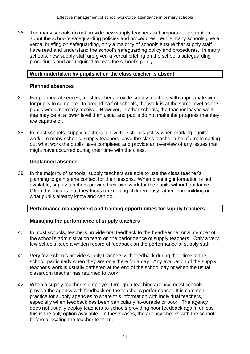36 Too many schools do not provide new supply teachers with important information about the school's safeguarding policies and procedures. While many schools give a verbal briefing on safeguarding, only a majority of schools ensure that supply staff have read and understand the school's safeguarding policy and procedures. In many schools, new supply staff are given a verbal briefing on the school's safeguarding procedures and are required to read the school's policy.

#### **Work undertaken by pupils when the class teacher is absent**

#### **Planned absences**

- 37 For planned absences, most teachers provide supply teachers with appropriate work for pupils to complete. In around half of schools, the work is at the same level as the pupils would normally receive. However, in other schools, the teacher leaves work that may be at a lower level than usual and pupils do not make the progress that they are capable of.
- 38 In most schools, supply teachers follow the school's policy when marking pupils' work. In many schools, supply teachers leave the class teacher a helpful note setting out what work the pupils have completed and provide an overview of any issues that might have occurred during their time with the class.

#### **Unplanned absence**

39 In the majority of schools, supply teachers are able to use the class teacher's planning to gain some context for their lessons. When planning information is not available, supply teachers provide their own work for the pupils without guidance. Often this means that they focus on keeping children busy rather than building on what pupils already know and can do.

#### **Performance management and training opportunities for supply teachers**

## **Managing the performance of supply teachers**

- 40 In most schools, teachers provide oral feedback to the headteacher or a member of the school's administration team on the performance of supply teachers. Only a very few schools keep a written record of feedback on the performance of supply staff.
- 41 Very few schools provide supply teachers with feedback during their time at the school, particularly when they are only there for a day. Any evaluation of the supply teacher's work is usually gathered at the end of the school day or when the usual classroom teacher has returned to work.
- 42 When a supply teacher is employed through a teaching agency, most schools provide the agency with feedback on the teacher's performance. It is common practice for supply agencies to share this information with individual teachers, especially when feedback has been particularly favourable or poor. The agency does not usually deploy teachers to schools providing poor feedback again, unless this is the only option available. In these cases, the agency checks with the school before allocating the teacher to them.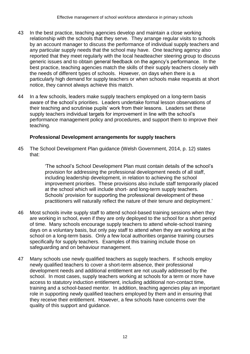- 43 In the best practice, teaching agencies develop and maintain a close working relationship with the schools that they serve. They arrange regular visits to schools by an account manager to discuss the performance of individual supply teachers and any particular supply needs that the school may have. One teaching agency also reported that they meet regularly with the local headteacher steering group to discuss generic issues and to obtain general feedback on the agency's performance. In the best practice, teaching agencies match the skills of their supply teachers closely with the needs of different types of schools. However, on days when there is a particularly high demand for supply teachers or when schools make requests at short notice, they cannot always achieve this match.
- 44 In a few schools, leaders make supply teachers employed on a long-term basis aware of the school's priorities. Leaders undertake formal lesson observations of their teaching and scrutinise pupils' work from their lessons. Leaders set these supply teachers individual targets for improvement in line with the school's performance management policy and procedures, and support them to improve their teaching.

#### **Professional Development arrangements for supply teachers**

45 The School Development Plan guidance (Welsh Government, 2014, p. 12) states that:

> 'The school's School Development Plan must contain details of the school's provision for addressing the professional development needs of all staff, including leadership development, in relation to achieving the school improvement priorities. These provisions also include staff temporarily placed at the school which will include short- and long-term supply teachers. Schools' provision for supporting the professional development of these practitioners will naturally reflect the nature of their tenure and deployment.'

- 46 Most schools invite supply staff to attend school-based training sessions when they are working in school, even if they are only deployed to the school for a short period of time. Many schools encourage supply teachers to attend whole-school training days on a voluntary basis, but only pay staff to attend when they are working at the school on a long-term basis. Only a few local authorities organise training courses specifically for supply teachers. Examples of this training include those on safeguarding and on behaviour management.
- 47 Many schools use newly qualified teachers as supply teachers. If schools employ newly qualified teachers to cover a short-term absence, their professional development needs and additional entitlement are not usually addressed by the school. In most cases, supply teachers working at schools for a term or more have access to statutory induction entitlement, including additional non-contact time, training and a school-based mentor. In addition, teaching agencies play an important role in supporting newly qualified teachers employed by them and in ensuring that they receive their entitlement. However, a few schools have concerns over the quality of this support and guidance.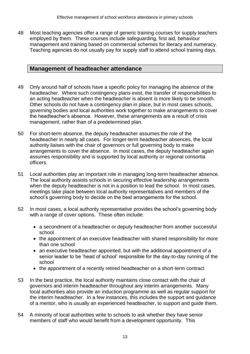48 Most teaching agencies offer a range of generic training courses for supply teachers employed by them. These courses include safeguarding, first aid, behaviour management and training based on commercial schemes for literacy and numeracy. Teaching agencies do not usually pay for supply staff to attend school training days.

# **Management of headteacher attendance**

- 49 Only around half of schools have a specific policy for managing the absence of the headteacher. Where such contingency plans exist, the transfer of responsibilities to an acting headteacher when the headteacher is absent is more likely to be smooth. Other schools do not have a contingency plan in place, but in most cases schools, governing bodies and local authorities work together to make arrangements to cover the headteacher's absence. However, these arrangements are a result of crisis management, rather than of a predetermined plan.
- 50 For short-term absence, the deputy headteacher assumes the role of the headteacher in nearly all cases. For longer-term headteacher absences, the local authority liaises with the chair of governors or full governing body to make arrangements to cover the absence. In most cases, the deputy headteacher again assumes responsibility and is supported by local authority or regional consortia officers.
- 51 Local authorities play an important role in managing long-term headteacher absence. The local authority assists schools in securing effective leadership arrangements when the deputy headteacher is not in a position to lead the school. In most cases, meetings take place between local authority representatives and members of the school's governing body to decide on the best arrangements for the school.
- 52 In most cases, a local authority representative provides the school's governing body with a range of cover options. These often include:
	- a secondment of a headteacher or deputy headteacher from another successful school
	- the appointment of an executive headteacher with shared responsibility for more than one school
	- an executive headteacher appointed, but with the additional appointment of a senior leader to be 'head of school' responsible for the day-to-day running of the school
	- the appointment of a recently retired headteacher on a short-term contract
- 53 In the best practice, the local authority maintains close contact with the chair of governors and interim headteacher throughout any interim arrangements. Many local authorities also provide an induction programme as well as regular support for the interim headteacher. In a few instances, this includes the support and guidance of a mentor, who is usually an experienced headteacher, to support and guide them.
- 54 A minority of local authorities write to schools to ask whether they have senior members of staff who would benefit from a development opportunity. This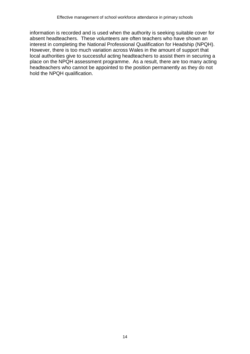information is recorded and is used when the authority is seeking suitable cover for absent headteachers. These volunteers are often teachers who have shown an interest in completing the National Professional Qualification for Headship (NPQH). However, there is too much variation across Wales in the amount of support that local authorities give to successful acting headteachers to assist them in securing a place on the NPQH assessment programme. As a result, there are too many acting headteachers who cannot be appointed to the position permanently as they do not hold the NPQH qualification.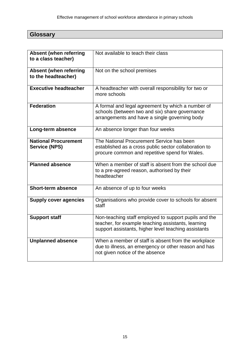| $\sim$<br>$\overline{\phantom{m}}$ |  |
|------------------------------------|--|
| . .<br>--                          |  |
| $- \cdot - \cdot - \cdot -$        |  |
|                                    |  |

| <b>Absent (when referring</b><br>to a class teacher) | Not available to teach their class                                                                                                                                  |
|------------------------------------------------------|---------------------------------------------------------------------------------------------------------------------------------------------------------------------|
| <b>Absent (when referring</b><br>to the headteacher) | Not on the school premises                                                                                                                                          |
| <b>Executive headteacher</b>                         | A headteacher with overall responsibility for two or<br>more schools                                                                                                |
| <b>Federation</b>                                    | A formal and legal agreement by which a number of<br>schools (between two and six) share governance<br>arrangements and have a single governing body                |
| Long-term absence                                    | An absence longer than four weeks                                                                                                                                   |
| <b>National Procurement</b><br><b>Service (NPS)</b>  | The National Procurement Service has been<br>established as a cross public sector collaboration to<br>procure common and repetitive spend for Wales.                |
| <b>Planned absence</b>                               | When a member of staff is absent from the school due<br>to a pre-agreed reason, authorised by their<br>headteacher                                                  |
| <b>Short-term absence</b>                            | An absence of up to four weeks                                                                                                                                      |
| <b>Supply cover agencies</b>                         | Organisations who provide cover to schools for absent<br>staff                                                                                                      |
| <b>Support staff</b>                                 | Non-teaching staff employed to support pupils and the<br>teacher, for example teaching assistants, learning<br>support assistants, higher level teaching assistants |
| <b>Unplanned absence</b>                             | When a member of staff is absent from the workplace<br>due to illness, an emergency or other reason and has<br>not given notice of the absence                      |